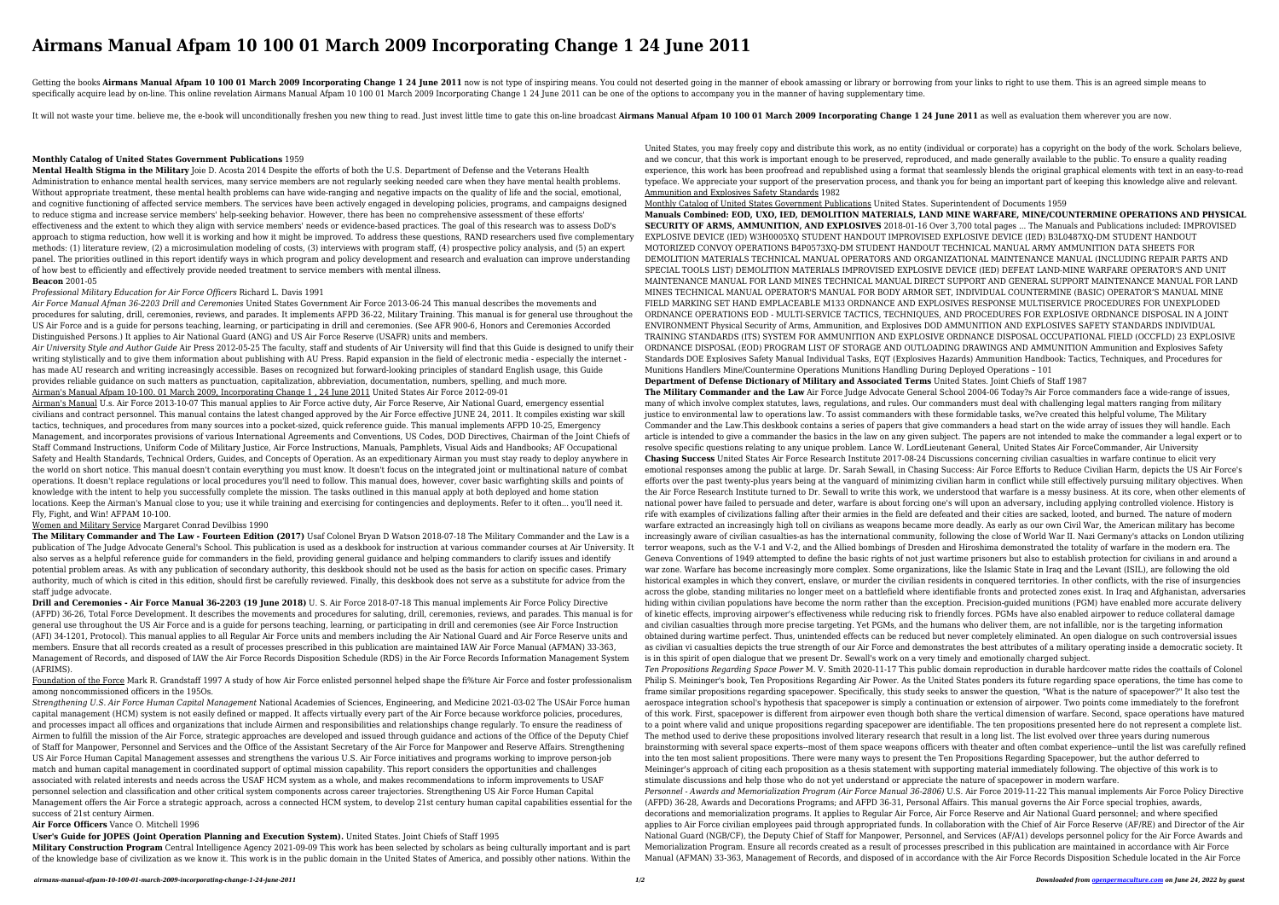# **Airmans Manual Afpam 10 100 01 March 2009 Incorporating Change 1 24 June 2011**

Getting the books Airmans Manual Afpam 10 100 01 March 2009 Incorporating Change 1 24 June 2011 now is not type of inspiring means. You could not deserted going in the manner of ebook amassing or library or borrowing from specifically acquire lead by on-line. This online revelation Airmans Manual Afpam 10 100 01 March 2009 Incorporating Change 1 24 June 2011 can be one of the options to accompany you in the manner of having supplementary ti

It will not waste vour time, believe me, the e-book will unconditionally freshen you new thing to read. Just invest little time to gate this on-line broadcast Airmans Manual Afpam 10 100 01 March 2009 Incorporating Change

### **Monthly Catalog of United States Government Publications** 1959

**Mental Health Stigma in the Military** Joie D. Acosta 2014 Despite the efforts of both the U.S. Department of Defense and the Veterans Health Administration to enhance mental health services, many service members are not regularly seeking needed care when they have mental health problems. Without appropriate treatment, these mental health problems can have wide-ranging and negative impacts on the quality of life and the social, emotional, and cognitive functioning of affected service members. The services have been actively engaged in developing policies, programs, and campaigns designed to reduce stigma and increase service members' help-seeking behavior. However, there has been no comprehensive assessment of these efforts' effectiveness and the extent to which they align with service members' needs or evidence-based practices. The goal of this research was to assess DoD's approach to stigma reduction, how well it is working and how it might be improved. To address these questions, RAND researchers used five complementary methods: (1) literature review, (2) a microsimulation modeling of costs, (3) interviews with program staff, (4) prospective policy analysis, and (5) an expert panel. The priorities outlined in this report identify ways in which program and policy development and research and evaluation can improve understanding of how best to efficiently and effectively provide needed treatment to service members with mental illness. **Beacon** 2001-05

## *Professional Military Education for Air Force Officers* Richard L. Davis 1991

*Air Force Manual Afman 36-2203 Drill and Ceremonies* United States Government Air Force 2013-06-24 This manual describes the movements and procedures for saluting, drill, ceremonies, reviews, and parades. It implements AFPD 36-22, Military Training. This manual is for general use throughout the US Air Force and is a guide for persons teaching, learning, or participating in drill and ceremonies. (See AFR 900-6, Honors and Ceremonies Accorded Distinguished Persons.) It applies to Air National Guard (ANG) and US Air Force Reserve (USAFR) units and members.

*Air University Style and Author Guide* Air Press 2012-05-25 The faculty, staff and students of Air University will find that this Guide is designed to unify their writing stylistically and to give them information about publishing with AU Press. Rapid expansion in the field of electronic media - especially the internet has made AU research and writing increasingly accessible. Bases on recognized but forward-looking principles of standard English usage, this Guide provides reliable guidance on such matters as punctuation, capitalization, abbreviation, documentation, numbers, spelling, and much more. Airman's Manual Afpam 10-100. 01 March 2009, Incorporating Change 1 , 24 June 2011 United States Air Force 2012-09-01

Airman's Manual U.s. Air Force 2013-10-07 This manual applies to Air Force active duty, Air Force Reserve, Air National Guard, emergency essential civilians and contract personnel. This manual contains the latest changed approved by the Air Force effective JUNE 24, 2011. It compiles existing war skill tactics, techniques, and procedures from many sources into a pocket-sized, quick reference guide. This manual implements AFPD 10-25, Emergency Management, and incorporates provisions of various International Agreements and Conventions, US Codes, DOD Directives, Chairman of the Joint Chiefs of Staff Command Instructions, Uniform Code of Military Justice, Air Force Instructions, Manuals, Pamphlets, Visual Aids and Handbooks; AF Occupational Safety and Health Standards, Technical Orders, Guides, and Concepts of Operation. As an expeditionary Airman you must stay ready to deploy anywhere in the world on short notice. This manual doesn't contain everything you must know. It doesn't focus on the integrated joint or multinational nature of combat operations. It doesn't replace regulations or local procedures you'll need to follow. This manual does, however, cover basic warfighting skills and points of knowledge with the intent to help you successfully complete the mission. The tasks outlined in this manual apply at both deployed and home station locations. Keep the Airman's Manual close to you; use it while training and exercising for contingencies and deployments. Refer to it often... you'll need it. Fly, Fight, and Win! AFPAM 10-100.

#### Women and Military Service Margaret Conrad Devilbiss 1990

**The Military Commander and The Law - Fourteen Edition (2017)** Usaf Colonel Bryan D Watson 2018-07-18 The Military Commander and the Law is a publication of The Judge Advocate General's School. This publication is used as a deskbook for instruction at various commander courses at Air University. It also serves as a helpful reference guide for commanders in the field, providing general guidance and helping commanders to clarify issues and identify potential problem areas. As with any publication of secondary authority, this deskbook should not be used as the basis for action on specific cases. Primary authority, much of which is cited in this edition, should first be carefully reviewed. Finally, this deskbook does not serve as a substitute for advice from the staff judge advocate.

**Drill and Ceremonies - Air Force Manual 36-2203 (19 June 2018)** U. S. Air Force 2018-07-18 This manual implements Air Force Policy Directive (AFPD) 36-26, Total Force Development. It describes the movements and procedures for saluting, drill, ceremonies, reviews, and parades. This manual is for general use throughout the US Air Force and is a guide for persons teaching, learning, or participating in drill and ceremonies (see Air Force Instruction (AFI) 34-1201, Protocol). This manual applies to all Regular Air Force units and members including the Air National Guard and Air Force Reserve units and members. Ensure that all records created as a result of processes prescribed in this publication are maintained IAW Air Force Manual (AFMAN) 33-363, Management of Records, and disposed of IAW the Air Force Records Disposition Schedule (RDS) in the Air Force Records Information Management System (AFRIMS).

Foundation of the Force Mark R. Grandstaff 1997 A study of how Air Force enlisted personnel helped shape the fi%ture Air Force and foster professionalism among noncommissioned officers in the 195Os.

*Strengthening U.S. Air Force Human Capital Management* National Academies of Sciences, Engineering, and Medicine 2021-03-02 The USAir Force human capital management (HCM) system is not easily defined or mapped. It affects virtually every part of the Air Force because workforce policies, procedures, and processes impact all offices and organizations that include Airmen and responsibilities and relationships change regularly. To ensure the readiness of Airmen to fulfill the mission of the Air Force, strategic approaches are developed and issued through guidance and actions of the Office of the Deputy Chief of Staff for Manpower, Personnel and Services and the Office of the Assistant Secretary of the Air Force for Manpower and Reserve Affairs. Strengthening US Air Force Human Capital Management assesses and strengthens the various U.S. Air Force initiatives and programs working to improve person-job match and human capital management in coordinated support of optimal mission capability. This report considers the opportunities and challenges associated with related interests and needs across the USAF HCM system as a whole, and makes recommendations to inform improvements to USAF personnel selection and classification and other critical system components across career trajectories. Strengthening US Air Force Human Capital Management offers the Air Force a strategic approach, across a connected HCM system, to develop 21st century human capital capabilities essential for the success of 21st century Airmen.

#### **Air Force Officers** Vance O. Mitchell 1996

**User's Guide for JOPES (Joint Operation Planning and Execution System).** United States. Joint Chiefs of Staff 1995

**Military Construction Program** Central Intelligence Agency 2021-09-09 This work has been selected by scholars as being culturally important and is part of the knowledge base of civilization as we know it. This work is in the public domain in the United States of America, and possibly other nations. Within the

United States, you may freely copy and distribute this work, as no entity (individual or corporate) has a copyright on the body of the work. Scholars believe, and we concur, that this work is important enough to be preserved, reproduced, and made generally available to the public. To ensure a quality reading experience, this work has been proofread and republished using a format that seamlessly blends the original graphical elements with text in an easy-to-read typeface. We appreciate your support of the preservation process, and thank you for being an important part of keeping this knowledge alive and relevant. Ammunition and Explosives Safety Standards 1982

Monthly Catalog of United States Government Publications United States. Superintendent of Documents 1959

**Manuals Combined: EOD, UXO, IED, DEMOLITION MATERIALS, LAND MINE WARFARE, MINE/COUNTERMINE OPERATIONS AND PHYSICAL SECURITY OF ARMS, AMMUNITION, AND EXPLOSIVES** 2018-01-16 Over 3,700 total pages ... The Manuals and Publications included: IMPROVISED EXPLOSIVE DEVICE (IED) W3H0005XQ STUDENT HANDOUT IMPROVISED EXPLOSIVE DEVICE (IED) B3L0487XQ-DM STUDENT HANDOUT MOTORIZED CONVOY OPERATIONS B4P0573XQ-DM STUDENT HANDOUT TECHNICAL MANUAL ARMY AMMUNITION DATA SHEETS FOR DEMOLITION MATERIALS TECHNICAL MANUAL OPERATORS AND ORGANIZATIONAL MAINTENANCE MANUAL (INCLUDING REPAIR PARTS AND SPECIAL TOOLS LIST) DEMOLITION MATERIALS IMPROVISED EXPLOSIVE DEVICE (IED) DEFEAT LAND-MINE WARFARE OPERATOR'S AND UNIT MAINTENANCE MANUAL FOR LAND MINES TECHNICAL MANUAL DIRECT SUPPORT AND GENERAL SUPPORT MAINTENANCE MANUAL FOR LAND MINES TECHNICAL MANUAL OPERATOR'S MANUAL FOR BODY ARMOR SET, INDIVIDUAL COUNTERMINE (BASIC) OPERATOR'S MANUAL MINE FIELD MARKING SET HAND EMPLACEABLE M133 ORDNANCE AND EXPLOSIVES RESPONSE MULTISERVICE PROCEDURES FOR UNEXPLODED ORDNANCE OPERATIONS EOD - MULTI-SERVICE TACTICS, TECHNIQUES, AND PROCEDURES FOR EXPLOSIVE ORDNANCE DISPOSAL IN A JOINT ENVIRONMENT Physical Security of Arms, Ammunition, and Explosives DOD AMMUNITION AND EXPLOSIVES SAFETY STANDARDS INDIVIDUAL TRAINING STANDARDS (ITS) SYSTEM FOR AMMUNITION AND EXPLOSIVE ORDNANCE DISPOSAL OCCUPATIONAL FIELD (OCCFLD) 23 EXPLOSIVE ORDNANCE DISPOSAL (EOD) PROGRAM LIST OF STORAGE AND OUTLOADING DRAWINGS AND AMMUNITION Ammunition and Explosives Safety Standards DOE Explosives Safety Manual Individual Tasks, EQT (Explosives Hazards) Ammunition Handbook: Tactics, Techniques, and Procedures for Munitions Handlers Mine/Countermine Operations Munitions Handling During Deployed Operations – 101

**Department of Defense Dictionary of Military and Associated Terms** United States. Joint Chiefs of Staff 1987

**The Military Commander and the Law** Air Force Judge Advocate General School 2004-06 Today?s Air Force commanders face a wide-range of issues, many of which involve complex statutes, laws, regulations, and rules. Our commanders must deal with challenging legal matters ranging from military justice to environmental law to operations law. To assist commanders with these formidable tasks, we?ve created this helpful volume, The Military Commander and the Law.This deskbook contains a series of papers that give commanders a head start on the wide array of issues they will handle. Each article is intended to give a commander the basics in the law on any given subject. The papers are not intended to make the commander a legal expert or to resolve specific questions relating to any unique problem. Lance W. LordLieutenant General, United States Air ForceCommander, Air University **Chasing Success** United States Air Force Research Institute 2017-08-24 Discussions concerning civilian casualties in warfare continue to elicit very emotional responses among the public at large. Dr. Sarah Sewall, in Chasing Success: Air Force Efforts to Reduce Civilian Harm, depicts the US Air Force's efforts over the past twenty-plus years being at the vanguard of minimizing civilian harm in conflict while still effectively pursuing military objectives. When the Air Force Research Institute turned to Dr. Sewall to write this work, we understood that warfare is a messy business. At its core, when other elements of national power have failed to persuade and deter, warfare is about forcing one's will upon an adversary, including applying controlled violence. History is rife with examples of civilizations falling after their armies in the field are defeated and their cities are sacked, looted, and burned. The nature of modern warfare extracted an increasingly high toll on civilians as weapons became more deadly. As early as our own Civil War, the American military has become increasingly aware of civilian casualties-as has the international community, following the close of World War II. Nazi Germany's attacks on London utilizing terror weapons, such as the V-1 and V-2, and the Allied bombings of Dresden and Hiroshima demonstrated the totality of warfare in the modern era. The Geneva Conventions of 1949 attempted to define the basic rights of not just wartime prisoners but also to establish protection for civilians in and around a war zone. Warfare has become increasingly more complex. Some organizations, like the Islamic State in Iraq and the Levant (ISIL), are following the old historical examples in which they convert, enslave, or murder the civilian residents in conquered territories. In other conflicts, with the rise of insurgencies across the globe, standing militaries no longer meet on a battlefield where identifiable fronts and protected zones exist. In Iraq and Afghanistan, adversaries hiding within civilian populations have become the norm rather than the exception. Precision-guided munitions (PGM) have enabled more accurate delivery of kinetic effects, improving airpower's effectiveness while reducing risk to friendly forces. PGMs have also enabled airpower to reduce collateral damage and civilian casualties through more precise targeting. Yet PGMs, and the humans who deliver them, are not infallible, nor is the targeting information obtained during wartime perfect. Thus, unintended effects can be reduced but never completely eliminated. An open dialogue on such controversial issues as civilian vi casualties depicts the true strength of our Air Force and demonstrates the best attributes of a military operating inside a democratic society. It is in this spirit of open dialogue that we present Dr. Sewall's work on a very timely and emotionally charged subject.

*Ten Propositions Regarding Space Power* M. V. Smith 2020-11-17 This public domain reproduction in durable hardcover matte rides the coattails of Colonel Philip S. Meininger's book, Ten Propositions Regarding Air Power. As the United States ponders its future regarding space operations, the time has come to frame similar propositions regarding spacepower. Specifically, this study seeks to answer the question, "What is the nature of spacepower?" It also test the aerospace integration school's hypothesis that spacepower is simply a continuation or extension of airpower. Two points come immediately to the forefront of this work. First, spacepower is different from airpower even though both share the vertical dimension of warfare. Second, space operations have matured to a point where valid and unique propositions regarding spacepower are identifiable. The ten propositions presented here do not represent a complete list. The method used to derive these propositions involved literary research that result in a long list. The list evolved over three years during numerous brainstorming with several space experts--most of them space weapons officers with theater and often combat experience--until the list was carefully refined into the ten most salient propositions. There were many ways to present the Ten Propositions Regarding Spacepower, but the author deferred to Meininger's approach of citing each proposition as a thesis statement with supporting material immediately following. The objective of this work is to stimulate discussions and help those who do not yet understand or appreciate the nature of spacepower in modern warfare.

*Personnel - Awards and Memorialization Program (Air Force Manual 36-2806)* U.S. Air Force 2019-11-22 This manual implements Air Force Policy Directive (AFPD) 36-28, Awards and Decorations Programs; and AFPD 36-31, Personal Affairs. This manual governs the Air Force special trophies, awards, decorations and memorialization programs. It applies to Regular Air Force, Air Force Reserve and Air National Guard personnel; and where specified applies to Air Force civilian employees paid through appropriated funds. In collaboration with the Chief of Air Force Reserve (AF/RE) and Director of the Air National Guard (NGB/CF), the Deputy Chief of Staff for Manpower, Personnel, and Services (AF/A1) develops personnel policy for the Air Force Awards and Memorialization Program. Ensure all records created as a result of processes prescribed in this publication are maintained in accordance with Air Force Manual (AFMAN) 33-363, Management of Records, and disposed of in accordance with the Air Force Records Disposition Schedule located in the Air Force